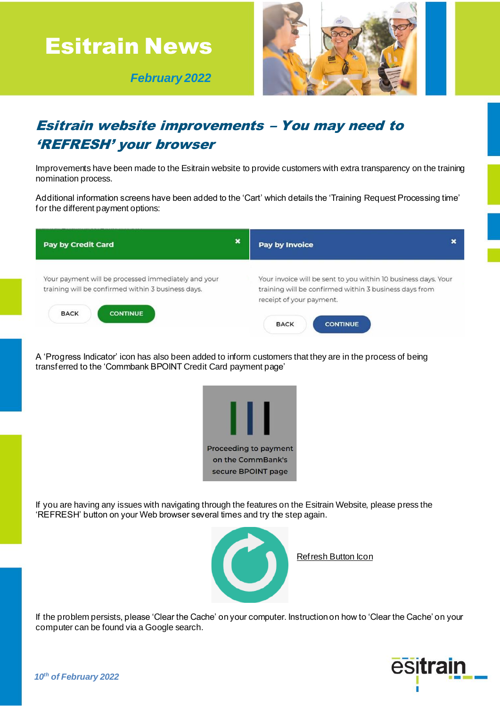

 *February 2022*



## Esitrain website improvements – You may need to 'REFRESH' your browser

Improvements have been made to the Esitrain website to provide customers with extra transparency on the training nomination process.

Additional information screens have been added to the 'Cart' which details the 'Training Request Processing time' for the different payment options:



A 'Progress Indicator' icon has also been added to inform customers that they are in the process of being transferred to the 'Commbank BPOINT Credit Card payment page'



If you are having any issues with navigating through the features on the Esitrain Website, please press the 'REFRESH' button on your Web browser several times and try the step again.



Refresh Button Icon

If the problem persists, please 'Clear the Cache' on your computer. Instruction on how to 'Clear the Cache' on your computer can be found via a Google search.